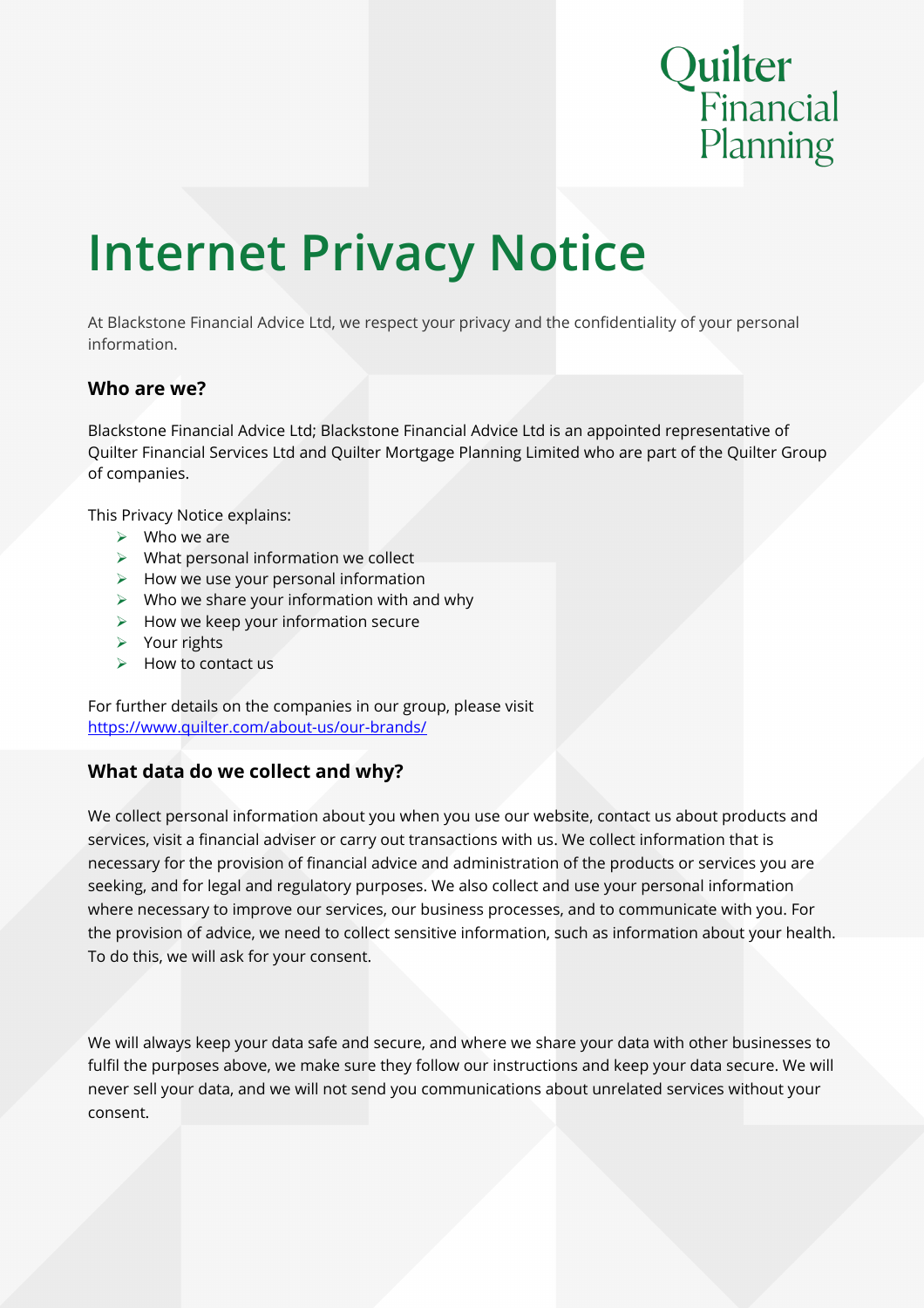# Quilter<br>Financial Planning

## **Internet Privacy Notice**

At Blackstone Financial Advice Ltd, we respect your privacy and the confidentiality of your personal information.

#### **Who are we?**

Blackstone Financial Advice Ltd; Blackstone Financial Advice Ltd is an appointed representative of Quilter Financial Services Ltd and Quilter Mortgage Planning Limited who are part of the Quilter Group of companies.

This Privacy Notice explains:

- $\triangleright$  Who we are
- $\triangleright$  What personal information we collect
- $\triangleright$  How we use your personal information
- $\triangleright$  Who we share your information with and why
- $\triangleright$  How we keep your information secure
- $\triangleright$  Your rights
- $\triangleright$  How to contact us

For further details on the companies in our group, please visit <https://www.quilter.com/about-us/our-brands/>

#### **What data do we collect and why?**

We collect personal information about you when you use our website, contact us about products and services, visit a financial adviser or carry out transactions with us. We collect information that is necessary for the provision of financial advice and administration of the products or services you are seeking, and for legal and regulatory purposes. We also collect and use your personal information where necessary to improve our services, our business processes, and to communicate with you. For the provision of advice, we need to collect sensitive information, such as information about your health. To do this, we will ask for your consent.

We will always keep your data safe and secure, and where we share your data with other businesses to fulfil the purposes above, we make sure they follow our instructions and keep your data secure. We will never sell your data, and we will not send you communications about unrelated services without your consent.